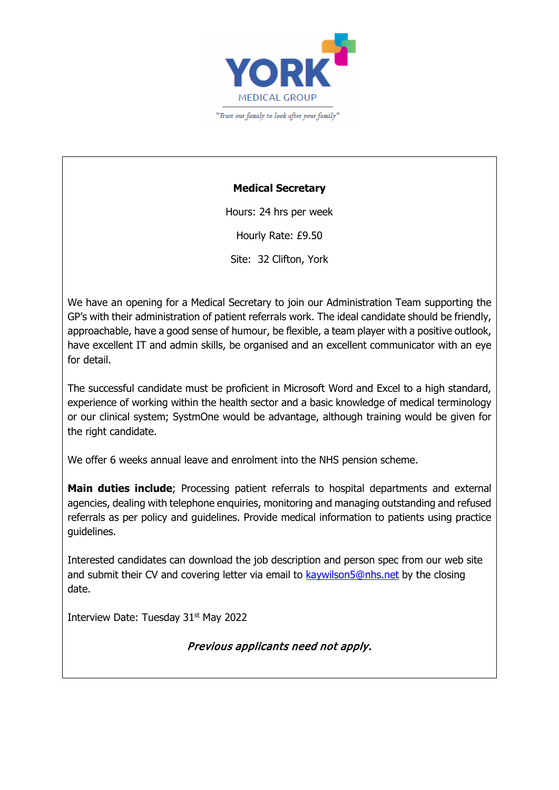

## **Medical Secretary**

Hours: 24 hrs per week Hourly Rate: £9.50 Site: 32 Clifton, York

We have an opening for a Medical Secretary to join our Administration Team supporting the GP's with their administration of patient referrals work. The ideal candidate should be friendly, approachable, have a good sense of humour, be flexible, a team player with a positive outlook, have excellent IT and admin skills, be organised and an excellent communicator with an eye for detail.

The successful candidate must be proficient in Microsoft Word and Excel to a high standard, experience of working within the health sector and a basic knowledge of medical terminology or our clinical system; SystmOne would be advantage, although training would be given for the right candidate.

We offer 6 weeks annual leave and enrolment into the NHS pension scheme.

**Main duties include**; Processing patient referrals to hospital departments and external agencies, dealing with telephone enquiries, monitoring and managing outstanding and refused referrals as per policy and guidelines. Provide medical information to patients using practice guidelines.

Interested candidates can download the job description and person spec from our web site and submit their CV and covering letter via email to [kaywilson5@nhs.net](mailto:kaywilson5@nhs.net) by the closing date.

Interview Date: Tuesday 31<sup>st</sup> May 2022

Previous applicants need not apply.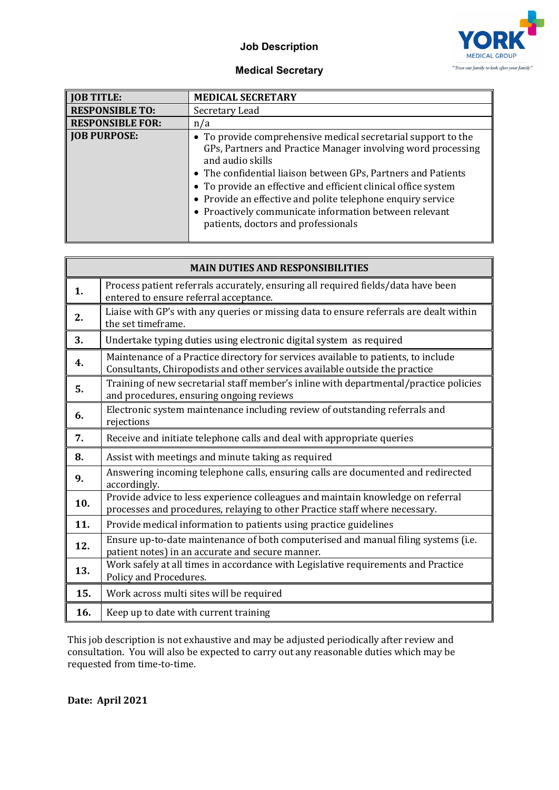## **Job Description**



## **Medical Secretary**

| <b>JOB TITLE:</b>       | <b>MEDICAL SECRETARY</b>                                                                                                                                                                                                                                                                                                                                                                                                                             |
|-------------------------|------------------------------------------------------------------------------------------------------------------------------------------------------------------------------------------------------------------------------------------------------------------------------------------------------------------------------------------------------------------------------------------------------------------------------------------------------|
| <b>RESPONSIBLE TO:</b>  | Secretary Lead                                                                                                                                                                                                                                                                                                                                                                                                                                       |
| <b>RESPONSIBLE FOR:</b> | n/a                                                                                                                                                                                                                                                                                                                                                                                                                                                  |
| <b>JOB PURPOSE:</b>     | • To provide comprehensive medical secretarial support to the<br>GPs, Partners and Practice Manager involving word processing<br>and audio skills<br>• The confidential liaison between GPs, Partners and Patients<br>• To provide an effective and efficient clinical office system<br>• Provide an effective and polite telephone enquiry service<br>• Proactively communicate information between relevant<br>patients, doctors and professionals |

| <b>MAIN DUTIES AND RESPONSIBILITIES</b> |                                                                                                                                                                   |
|-----------------------------------------|-------------------------------------------------------------------------------------------------------------------------------------------------------------------|
| 1.                                      | Process patient referrals accurately, ensuring all required fields/data have been<br>entered to ensure referral acceptance.                                       |
| 2.                                      | Liaise with GP's with any queries or missing data to ensure referrals are dealt within<br>the set timeframe.                                                      |
| 3.                                      | Undertake typing duties using electronic digital system as required                                                                                               |
| 4.                                      | Maintenance of a Practice directory for services available to patients, to include<br>Consultants, Chiropodists and other services available outside the practice |
| 5.                                      | Training of new secretarial staff member's inline with departmental/practice policies<br>and procedures, ensuring ongoing reviews                                 |
| 6.                                      | Electronic system maintenance including review of outstanding referrals and<br>rejections                                                                         |
| 7.                                      | Receive and initiate telephone calls and deal with appropriate queries                                                                                            |
| 8.                                      | Assist with meetings and minute taking as required                                                                                                                |
| 9.                                      | Answering incoming telephone calls, ensuring calls are documented and redirected<br>accordingly.                                                                  |
| 10.                                     | Provide advice to less experience colleagues and maintain knowledge on referral<br>processes and procedures, relaying to other Practice staff where necessary.    |
| 11.                                     | Provide medical information to patients using practice guidelines                                                                                                 |
| 12.                                     | Ensure up-to-date maintenance of both computerised and manual filing systems (i.e.<br>patient notes) in an accurate and secure manner.                            |
| 13.                                     | Work safely at all times in accordance with Legislative requirements and Practice<br>Policy and Procedures.                                                       |
| 15.                                     | Work across multi sites will be required                                                                                                                          |
| 16.                                     | Keep up to date with current training                                                                                                                             |

This job description is not exhaustive and may be adjusted periodically after review and consultation. You will also be expected to carry out any reasonable duties which may be requested from time-to-time.

**Date: April 2021**